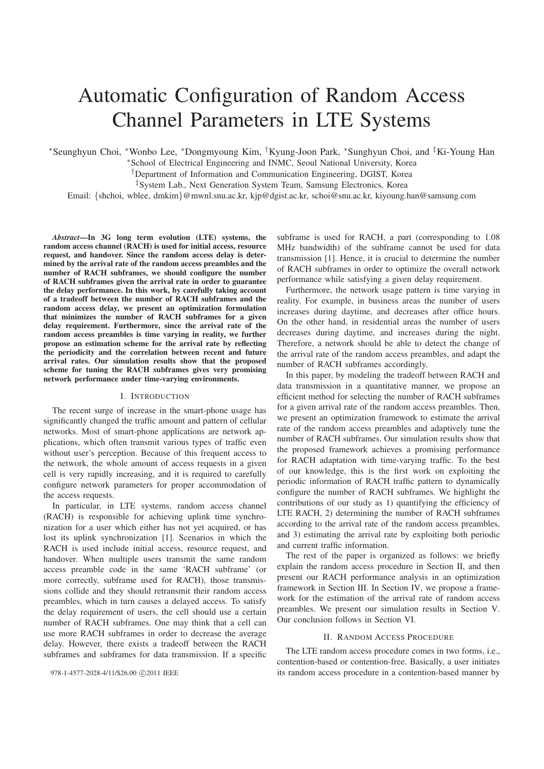# Automatic Configuration of Random Access Channel Parameters in LTE Systems

∗Seunghyun Choi, ∗Wonbo Lee, ∗Dongmyoung Kim, †Kyung-Joon Park, ∗Sunghyun Choi, and ‡Ki-Young Han

∗School of Electrical Engineering and INMC, Seoul National University, Korea

†Department of Information and Communication Engineering, DGIST, Korea

‡System Lab., Next Generation System Team, Samsung Electronics, Korea

Email: {shchoi, wblee, dmkim}@mwnl.snu.ac.kr, kjp@dgist.ac.kr, schoi@snu.ac.kr, kiyoung.han@samsung.com

*Abstract*—In 3G long term evolution (LTE) systems, the random access channel (RACH) is used for initial access, resource request, and handover. Since the random access delay is determined by the arrival rate of the random access preambles and the number of RACH subframes, we should configure the number of RACH subframes given the arrival rate in order to guarantee the delay performance. In this work, by carefully taking account of a tradeoff between the number of RACH subframes and the random access delay, we present an optimization formulation that minimizes the number of RACH subframes for a given delay requirement. Furthermore, since the arrival rate of the random access preambles is time varying in reality, we further propose an estimation scheme for the arrival rate by reflecting the periodicity and the correlation between recent and future arrival rates. Our simulation results show that the proposed scheme for tuning the RACH subframes gives very promising network performance under time-varying environments.

# I. INTRODUCTION

The recent surge of increase in the smart-phone usage has significantly changed the traffic amount and pattern of cellular networks. Most of smart-phone applications are network applications, which often transmit various types of traffic even without user's perception. Because of this frequent access to the network, the whole amount of access requests in a given cell is very rapidly increasing, and it is required to carefully configure network parameters for proper accommodation of the access requests.

In particular, in LTE systems, random access channel (RACH) is responsible for achieving uplink time synchronization for a user which either has not yet acquired, or has lost its uplink synchronization [1]. Scenarios in which the RACH is used include initial access, resource request, and handover. When multiple users transmit the same random access preamble code in the same 'RACH subframe' (or more correctly, subframe used for RACH), those transmissions collide and they should retransmit their random access preambles, which in turn causes a delayed access. To satisfy the delay requirement of users, the cell should use a certain number of RACH subframes. One may think that a cell can use more RACH subframes in order to decrease the average delay. However, there exists a tradeoff between the RACH subframes and subframes for data transmission. If a specific

978-1-4577-2028-4/11/\$26.00 @2011 IEEE

subframe is used for RACH, a part (corresponding to 1.08 MHz bandwidth) of the subframe cannot be used for data transmission [1]. Hence, it is crucial to determine the number of RACH subframes in order to optimize the overall network performance while satisfying a given delay requirement.

Furthermore, the network usage pattern is time varying in reality. For example, in business areas the number of users increases during daytime, and decreases after office hours. On the other hand, in residential areas the number of users decreases during daytime, and increases during the night. Therefore, a network should be able to detect the change of the arrival rate of the random access preambles, and adapt the number of RACH subframes accordingly.

In this paper, by modeling the tradeoff between RACH and data transmission in a quantitative manner, we propose an efficient method for selecting the number of RACH subframes for a given arrival rate of the random access preambles. Then, we present an optimization framework to estimate the arrival rate of the random access preambles and adaptively tune the number of RACH subframes. Our simulation results show that the proposed framework achieves a promising performance for RACH adaptation with time-varying traffic. To the best of our knowledge, this is the first work on exploiting the periodic information of RACH traffic pattern to dynamically configure the number of RACH subframes. We highlight the contributions of our study as 1) quantifying the efficiency of LTE RACH, 2) determining the number of RACH subframes according to the arrival rate of the random access preambles, and 3) estimating the arrival rate by exploiting both periodic and current traffic information.

The rest of the paper is organized as follows: we briefly explain the random access procedure in Section II, and then present our RACH performance analysis in an optimization framework in Section III. In Section IV, we propose a framework for the estimation of the arrival rate of random access preambles. We present our simulation results in Section V. Our conclusion follows in Section VI.

#### II. RANDOM ACCESS PROCEDURE

The LTE random access procedure comes in two forms, i.e., contention-based or contention-free. Basically, a user initiates its random access procedure in a contention-based manner by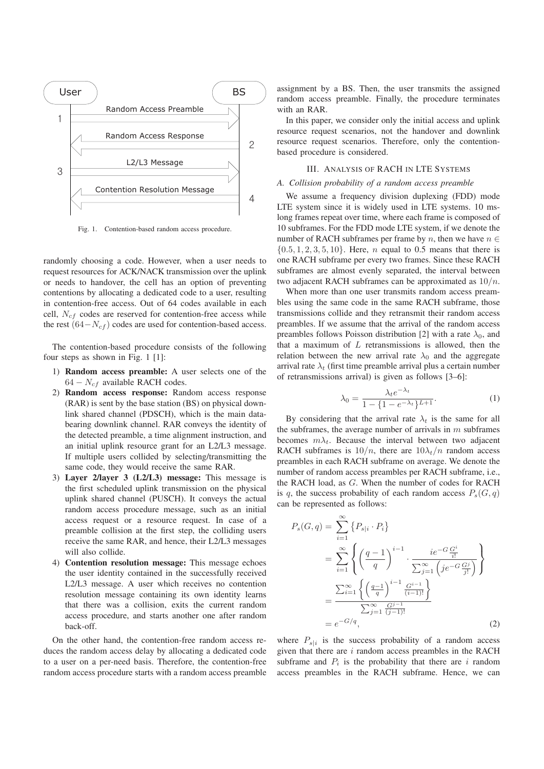

Fig. 1. Contention-based random access procedure.

randomly choosing a code. However, when a user needs to request resources for ACK/NACK transmission over the uplink or needs to handover, the cell has an option of preventing contentions by allocating a dedicated code to a user, resulting in contention-free access. Out of 64 codes available in each cell,  $N_{cf}$  codes are reserved for contention-free access while the rest  $(64-N<sub>cf</sub>)$  codes are used for contention-based access.

The contention-based procedure consists of the following four steps as shown in Fig. 1 [1]:

- 1) Random access preamble: A user selects one of the  $64 - N_{cf}$  available RACH codes.
- 2) Random access response: Random access response (RAR) is sent by the base station (BS) on physical downlink shared channel (PDSCH), which is the main databearing downlink channel. RAR conveys the identity of the detected preamble, a time alignment instruction, and an initial uplink resource grant for an L2/L3 message. If multiple users collided by selecting/transmitting the same code, they would receive the same RAR.
- 3) Layer 2/layer 3 (L2/L3) message: This message is the first scheduled uplink transmission on the physical uplink shared channel (PUSCH). It conveys the actual random access procedure message, such as an initial access request or a resource request. In case of a preamble collision at the first step, the colliding users receive the same RAR, and hence, their L2/L3 messages will also collide.
- 4) Contention resolution message: This message echoes the user identity contained in the successfully received L2/L3 message. A user which receives no contention resolution message containing its own identity learns that there was a collision, exits the current random access procedure, and starts another one after random back-off.

On the other hand, the contention-free random access reduces the random access delay by allocating a dedicated code to a user on a per-need basis. Therefore, the contention-free random access procedure starts with a random access preamble

assignment by a BS. Then, the user transmits the assigned random access preamble. Finally, the procedure terminates with an RAR.

In this paper, we consider only the initial access and uplink resource request scenarios, not the handover and downlink resource request scenarios. Therefore, only the contentionbased procedure is considered.

# III. ANALYSIS OF RACH IN LTE SYSTEMS

# *A. Collision probability of a random access preamble*

We assume a frequency division duplexing (FDD) mode LTE system since it is widely used in LTE systems. 10 mslong frames repeat over time, where each frame is composed of 10 subframes. For the FDD mode LTE system, if we denote the number of RACH subframes per frame by n, then we have  $n \in$  $\{0.5, 1, 2, 3, 5, 10\}$ . Here, *n* equal to 0.5 means that there is one RACH subframe per every two frames. Since these RACH subframes are almost evenly separated, the interval between two adjacent RACH subframes can be approximated as  $10/n$ .

When more than one user transmits random access preambles using the same code in the same RACH subframe, those transmissions collide and they retransmit their random access preambles. If we assume that the arrival of the random access preambles follows Poisson distribution [2] with a rate  $\lambda_0$ , and that a maximum of  $L$  retransmissions is allowed, then the relation between the new arrival rate  $\lambda_0$  and the aggregate arrival rate  $\lambda_t$  (first time preamble arrival plus a certain number of retransmissions arrival) is given as follows [3–6]:

$$
\lambda_0 = \frac{\lambda_t e^{-\lambda_t}}{1 - \{1 - e^{-\lambda_t}\}^{L+1}}.\tag{1}
$$

By considering that the arrival rate  $\lambda_t$  is the same for all the subframes, the average number of arrivals in  $m$  subframes becomes  $m\lambda_t$ . Because the interval between two adjacent RACH subframes is  $10/n$ , there are  $10\lambda_t/n$  random access preambles in each RACH subframe on average. We denote the number of random access preambles per RACH subframe, i.e., the RACH load, as G. When the number of codes for RACH is q, the success probability of each random access  $P_s(G, q)$ can be represented as follows:

$$
P_s(G, q) = \sum_{i=1}^{\infty} \{P_{s|i} \cdot P_i\}
$$
  
= 
$$
\sum_{i=1}^{\infty} \left\{ \left(\frac{q-1}{q}\right)^{i-1} \cdot \frac{ie^{-G}\frac{G^i}{i!}}{\sum_{j=1}^{\infty} \left(j e^{-G}\frac{G^j}{j!}\right)} \right\}
$$
  
= 
$$
\frac{\sum_{i=1}^{\infty} \left\{ \left(\frac{q-1}{q}\right)^{i-1} \frac{G^{i-1}}{(i-1)!} \right\}}{\sum_{j=1}^{\infty} \frac{G^{j-1}}{(j-1)!}}
$$
  
= 
$$
e^{-G/q}, \tag{2}
$$

where  $P_{s|i}$  is the success probability of a random access given that there are  $i$  random access preambles in the RACH subframe and  $P_i$  is the probability that there are i random access preambles in the RACH subframe. Hence, we can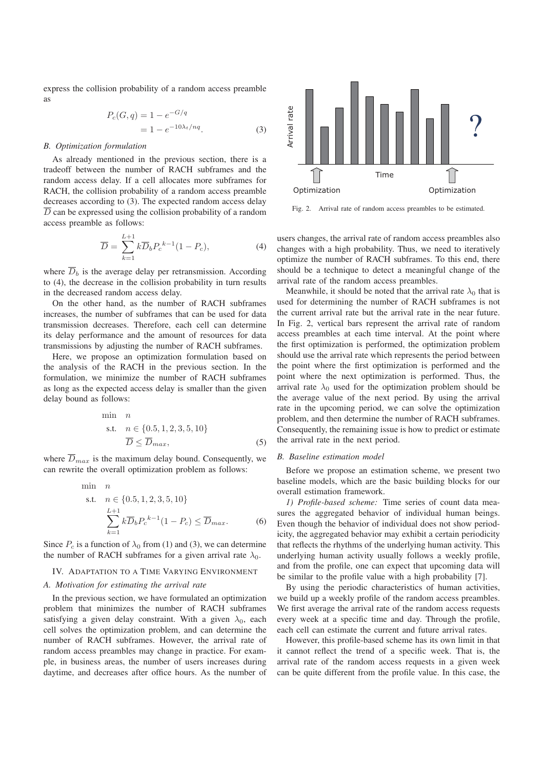express the collision probability of a random access preamble as

$$
P_c(G, q) = 1 - e^{-G/q}
$$
  
= 1 - e^{-10\lambda\_t/ nq}. (3)

# *B. Optimization formulation*

As already mentioned in the previous section, there is a tradeoff between the number of RACH subframes and the random access delay. If a cell allocates more subframes for RACH, the collision probability of a random access preamble decreases according to (3). The expected random access delay  $\overline{D}$  can be expressed using the collision probability of a random access preamble as follows:

$$
\overline{D} = \sum_{k=1}^{L+1} k \overline{D}_b P_c^{k-1} (1 - P_c), \tag{4}
$$

where  $\overline{D}_b$  is the average delay per retransmission. According to (4), the decrease in the collision probability in turn results in the decreased random access delay.

On the other hand, as the number of RACH subframes increases, the number of subframes that can be used for data transmission decreases. Therefore, each cell can determine its delay performance and the amount of resources for data transmissions by adjusting the number of RACH subframes.

Here, we propose an optimization formulation based on the analysis of the RACH in the previous section. In the formulation, we minimize the number of RACH subframes as long as the expected access delay is smaller than the given delay bound as follows:

$$
\begin{array}{ll}\n\text{min} & n \\
\text{s.t.} & n \in \{0.5, 1, 2, 3, 5, 10\} \\
& \overline{D} \le \overline{D}_{max},\n\end{array} \tag{5}
$$

where  $\overline{D}_{max}$  is the maximum delay bound. Consequently, we can rewrite the overall optimization problem as follows:

min n  
s.t. 
$$
n \in \{0.5, 1, 2, 3, 5, 10\}
$$
  

$$
\sum_{k=1}^{L+1} k \overline{D}_b P_c^{k-1} (1 - P_c) \le \overline{D}_{max}.
$$
 (6)

Since  $P_c$  is a function of  $\lambda_0$  from (1) and (3), we can determine the number of RACH subframes for a given arrival rate  $\lambda_0$ .

# IV. ADAPTATION TO A TIME VARYING ENVIRONMENT

# *A. Motivation for estimating the arrival rate*

In the previous section, we have formulated an optimization problem that minimizes the number of RACH subframes satisfying a given delay constraint. With a given  $\lambda_0$ , each cell solves the optimization problem, and can determine the number of RACH subframes. However, the arrival rate of random access preambles may change in practice. For example, in business areas, the number of users increases during daytime, and decreases after office hours. As the number of



Fig. 2. Arrival rate of random access preambles to be estimated.

users changes, the arrival rate of random access preambles also changes with a high probability. Thus, we need to iteratively optimize the number of RACH subframes. To this end, there should be a technique to detect a meaningful change of the arrival rate of the random access preambles.

Meanwhile, it should be noted that the arrival rate  $\lambda_0$  that is used for determining the number of RACH subframes is not the current arrival rate but the arrival rate in the near future. In Fig. 2, vertical bars represent the arrival rate of random access preambles at each time interval. At the point where the first optimization is performed, the optimization problem should use the arrival rate which represents the period between the point where the first optimization is performed and the point where the next optimization is performed. Thus, the arrival rate  $\lambda_0$  used for the optimization problem should be the average value of the next period. By using the arrival rate in the upcoming period, we can solve the optimization problem, and then determine the number of RACH subframes. Consequently, the remaining issue is how to predict or estimate the arrival rate in the next period.

# *B. Baseline estimation model*

Before we propose an estimation scheme, we present two baseline models, which are the basic building blocks for our overall estimation framework.

*1) Profile-based scheme:* Time series of count data measures the aggregated behavior of individual human beings. Even though the behavior of individual does not show periodicity, the aggregated behavior may exhibit a certain periodicity that reflects the rhythms of the underlying human activity. This underlying human activity usually follows a weekly profile, and from the profile, one can expect that upcoming data will be similar to the profile value with a high probability [7].

By using the periodic characteristics of human activities, we build up a weekly profile of the random access preambles. We first average the arrival rate of the random access requests every week at a specific time and day. Through the profile, each cell can estimate the current and future arrival rates.

However, this profile-based scheme has its own limit in that it cannot reflect the trend of a specific week. That is, the arrival rate of the random access requests in a given week can be quite different from the profile value. In this case, the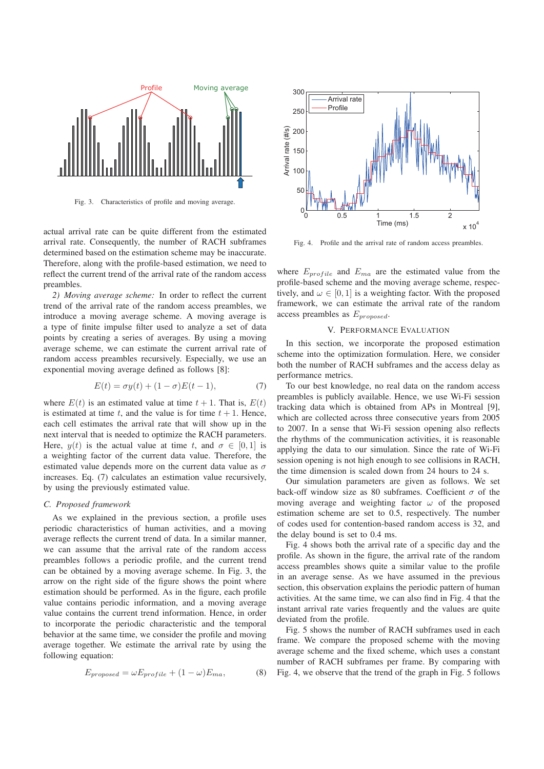

Fig. 3. Characteristics of profile and moving average.

actual arrival rate can be quite different from the estimated arrival rate. Consequently, the number of RACH subframes determined based on the estimation scheme may be inaccurate. Therefore, along with the profile-based estimation, we need to reflect the current trend of the arrival rate of the random access preambles.

*2) Moving average scheme:* In order to reflect the current trend of the arrival rate of the random access preambles, we introduce a moving average scheme. A moving average is a type of finite impulse filter used to analyze a set of data points by creating a series of averages. By using a moving average scheme, we can estimate the current arrival rate of random access preambles recursively. Especially, we use an exponential moving average defined as follows [8]:

$$
E(t) = \sigma y(t) + (1 - \sigma)E(t - 1),
$$
\n(7)

where  $E(t)$  is an estimated value at time  $t + 1$ . That is,  $E(t)$ is estimated at time t, and the value is for time  $t + 1$ . Hence, each cell estimates the arrival rate that will show up in the next interval that is needed to optimize the RACH parameters. Here,  $y(t)$  is the actual value at time t, and  $\sigma \in [0, 1]$  is a weighting factor of the current data value. Therefore, the estimated value depends more on the current data value as  $\sigma$ increases. Eq. (7) calculates an estimation value recursively, by using the previously estimated value.

# *C. Proposed framework*

As we explained in the previous section, a profile uses periodic characteristics of human activities, and a moving average reflects the current trend of data. In a similar manner, we can assume that the arrival rate of the random access preambles follows a periodic profile, and the current trend can be obtained by a moving average scheme. In Fig. 3, the arrow on the right side of the figure shows the point where estimation should be performed. As in the figure, each profile value contains periodic information, and a moving average value contains the current trend information. Hence, in order to incorporate the periodic characteristic and the temporal behavior at the same time, we consider the profile and moving average together. We estimate the arrival rate by using the following equation:

$$
E_{proposed} = \omega E_{profile} + (1 - \omega) E_{ma}, \tag{8}
$$



Fig. 4. Profile and the arrival rate of random access preambles.

where  $E_{profile}$  and  $E_{ma}$  are the estimated value from the profile-based scheme and the moving average scheme, respectively, and  $\omega \in [0, 1]$  is a weighting factor. With the proposed framework, we can estimate the arrival rate of the random access preambles as  $E_{proposed}$ .

# V. PERFORMANCE EVALUATION

In this section, we incorporate the proposed estimation scheme into the optimization formulation. Here, we consider both the number of RACH subframes and the access delay as performance metrics.

To our best knowledge, no real data on the random access preambles is publicly available. Hence, we use Wi-Fi session tracking data which is obtained from APs in Montreal [9], which are collected across three consecutive years from 2005 to 2007. In a sense that Wi-Fi session opening also reflects the rhythms of the communication activities, it is reasonable applying the data to our simulation. Since the rate of Wi-Fi session opening is not high enough to see collisions in RACH, the time dimension is scaled down from 24 hours to 24 s.

Our simulation parameters are given as follows. We set back-off window size as 80 subframes. Coefficient  $\sigma$  of the moving average and weighting factor  $\omega$  of the proposed estimation scheme are set to 0.5, respectively. The number of codes used for contention-based random access is 32, and the delay bound is set to 0.4 ms.

Fig. 4 shows both the arrival rate of a specific day and the profile. As shown in the figure, the arrival rate of the random access preambles shows quite a similar value to the profile in an average sense. As we have assumed in the previous section, this observation explains the periodic pattern of human activities. At the same time, we can also find in Fig. 4 that the instant arrival rate varies frequently and the values are quite deviated from the profile.

Fig. 5 shows the number of RACH subframes used in each frame. We compare the proposed scheme with the moving average scheme and the fixed scheme, which uses a constant number of RACH subframes per frame. By comparing with Fig. 4, we observe that the trend of the graph in Fig. 5 follows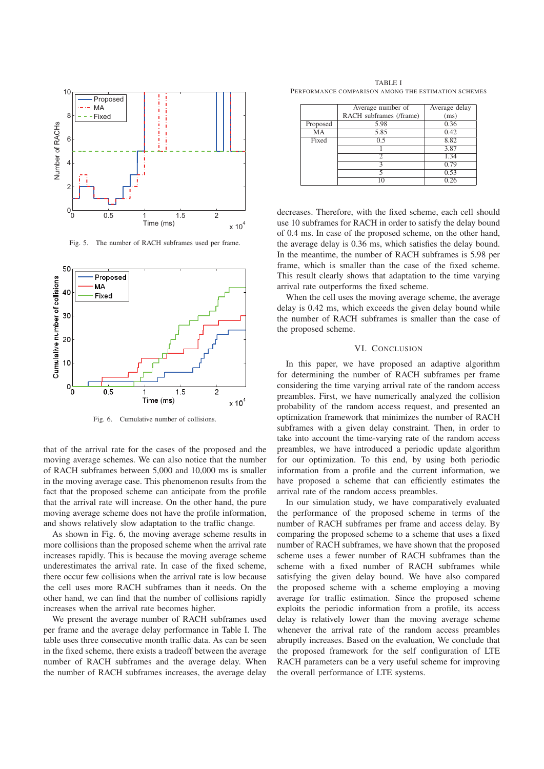

Fig. 5. The number of RACH subframes used per frame.



Fig. 6. Cumulative number of collisions.

that of the arrival rate for the cases of the proposed and the moving average schemes. We can also notice that the number of RACH subframes between 5,000 and 10,000 ms is smaller in the moving average case. This phenomenon results from the fact that the proposed scheme can anticipate from the profile that the arrival rate will increase. On the other hand, the pure moving average scheme does not have the profile information, and shows relatively slow adaptation to the traffic change.

As shown in Fig. 6, the moving average scheme results in more collisions than the proposed scheme when the arrival rate increases rapidly. This is because the moving average scheme underestimates the arrival rate. In case of the fixed scheme, there occur few collisions when the arrival rate is low because the cell uses more RACH subframes than it needs. On the other hand, we can find that the number of collisions rapidly increases when the arrival rate becomes higher.

We present the average number of RACH subframes used per frame and the average delay performance in Table I. The table uses three consecutive month traffic data. As can be seen in the fixed scheme, there exists a tradeoff between the average number of RACH subframes and the average delay. When the number of RACH subframes increases, the average delay

TABLE I PERFORMANCE COMPARISON AMONG THE ESTIMATION SCHEMES

|          | Average number of       | Average delay |
|----------|-------------------------|---------------|
|          | RACH subframes (/frame) | (ms)          |
| Proposed | 5.98                    | 0.36          |
| МA       | 5.85                    | 0.42          |
| Fixed    | 0.5                     | 8.82          |
|          |                         | 3.87          |
|          | 7                       | 1.34          |
|          |                         | 0.79          |
|          | 5                       | 0.53          |
|          |                         | 0.26          |

decreases. Therefore, with the fixed scheme, each cell should use 10 subframes for RACH in order to satisfy the delay bound of 0.4 ms. In case of the proposed scheme, on the other hand, the average delay is 0.36 ms, which satisfies the delay bound. In the meantime, the number of RACH subframes is 5.98 per frame, which is smaller than the case of the fixed scheme. This result clearly shows that adaptation to the time varying arrival rate outperforms the fixed scheme.

When the cell uses the moving average scheme, the average delay is 0.42 ms, which exceeds the given delay bound while the number of RACH subframes is smaller than the case of the proposed scheme.

# VI. CONCLUSION

In this paper, we have proposed an adaptive algorithm for determining the number of RACH subframes per frame considering the time varying arrival rate of the random access preambles. First, we have numerically analyzed the collision probability of the random access request, and presented an optimization framework that minimizes the number of RACH subframes with a given delay constraint. Then, in order to take into account the time-varying rate of the random access preambles, we have introduced a periodic update algorithm for our optimization. To this end, by using both periodic information from a profile and the current information, we have proposed a scheme that can efficiently estimates the arrival rate of the random access preambles.

In our simulation study, we have comparatively evaluated the performance of the proposed scheme in terms of the number of RACH subframes per frame and access delay. By comparing the proposed scheme to a scheme that uses a fixed number of RACH subframes, we have shown that the proposed scheme uses a fewer number of RACH subframes than the scheme with a fixed number of RACH subframes while satisfying the given delay bound. We have also compared the proposed scheme with a scheme employing a moving average for traffic estimation. Since the proposed scheme exploits the periodic information from a profile, its access delay is relatively lower than the moving average scheme whenever the arrival rate of the random access preambles abruptly increases. Based on the evaluation, We conclude that the proposed framework for the self configuration of LTE RACH parameters can be a very useful scheme for improving the overall performance of LTE systems.